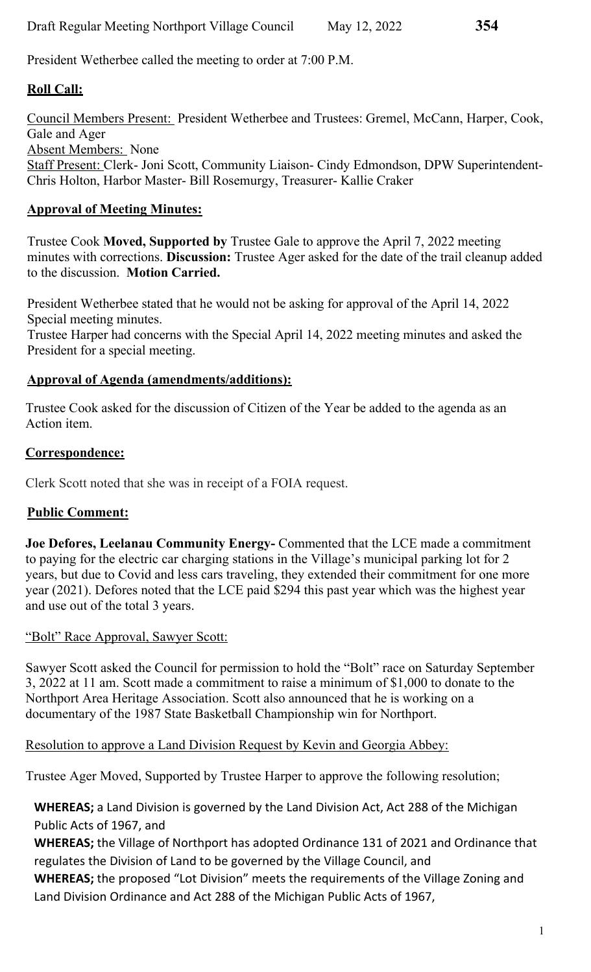President Wetherbee called the meeting to order at 7:00 P.M.

## **Roll Call:**

Council Members Present: President Wetherbee and Trustees: Gremel, McCann, Harper, Cook, Gale and Ager Absent Members: None Staff Present: Clerk- Joni Scott, Community Liaison- Cindy Edmondson, DPW Superintendent-Chris Holton, Harbor Master- Bill Rosemurgy, Treasurer- Kallie Craker

## **Approval of Meeting Minutes:**

Trustee Cook **Moved, Supported by** Trustee Gale to approve the April 7, 2022 meeting minutes with corrections. **Discussion:** Trustee Ager asked for the date of the trail cleanup added to the discussion. **Motion Carried.**

President Wetherbee stated that he would not be asking for approval of the April 14, 2022 Special meeting minutes.

Trustee Harper had concerns with the Special April 14, 2022 meeting minutes and asked the President for a special meeting.

#### **Approval of Agenda (amendments/additions):**

Trustee Cook asked for the discussion of Citizen of the Year be added to the agenda as an Action item.

#### **Correspondence:**

Clerk Scott noted that she was in receipt of a FOIA request.

### **Public Comment:**

**Joe Defores, Leelanau Community Energy-** Commented that the LCE made a commitment to paying for the electric car charging stations in the Village's municipal parking lot for 2 years, but due to Covid and less cars traveling, they extended their commitment for one more year (2021). Defores noted that the LCE paid \$294 this past year which was the highest year and use out of the total 3 years.

#### "Bolt" Race Approval, Sawyer Scott:

Sawyer Scott asked the Council for permission to hold the "Bolt" race on Saturday September 3, 2022 at 11 am. Scott made a commitment to raise a minimum of \$1,000 to donate to the Northport Area Heritage Association. Scott also announced that he is working on a documentary of the 1987 State Basketball Championship win for Northport.

#### Resolution to approve a Land Division Request by Kevin and Georgia Abbey:

Trustee Ager Moved, Supported by Trustee Harper to approve the following resolution;

**WHEREAS;** a Land Division is governed by the Land Division Act, Act 288 of the Michigan Public Acts of 1967, and

**WHEREAS;** the Village of Northport has adopted Ordinance 131 of 2021 and Ordinance that regulates the Division of Land to be governed by the Village Council, and

**WHEREAS;** the proposed "Lot Division" meets the requirements of the Village Zoning and Land Division Ordinance and Act 288 of the Michigan Public Acts of 1967,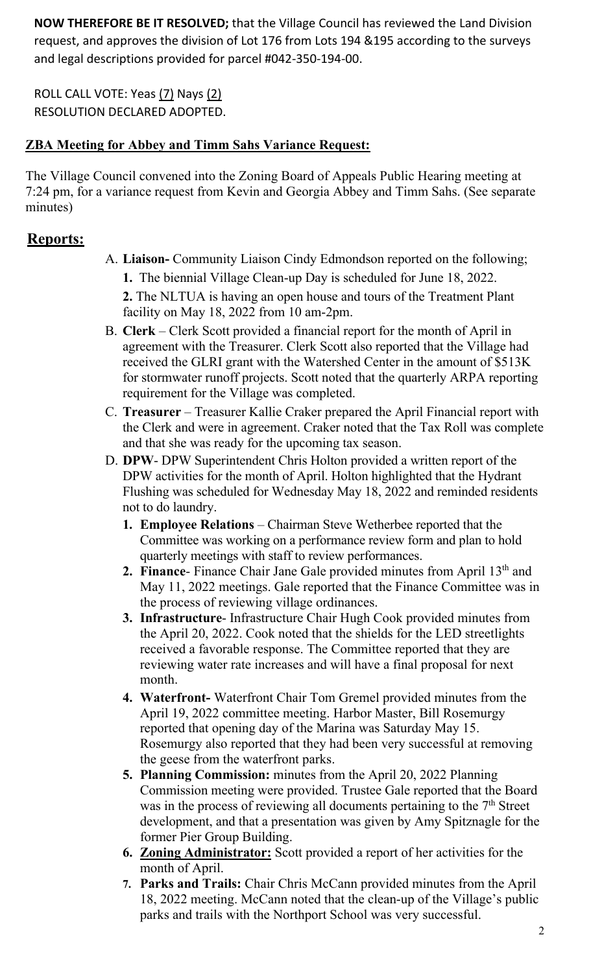**NOW THEREFORE BE IT RESOLVED;** that the Village Council has reviewed the Land Division request, and approves the division of Lot 176 from Lots 194 &195 according to the surveys and legal descriptions provided for parcel #042‐350‐194‐00.

ROLL CALL VOTE: Yeas (7) Nays (2) RESOLUTION DECLARED ADOPTED.

### **ZBA Meeting for Abbey and Timm Sahs Variance Request:**

The Village Council convened into the Zoning Board of Appeals Public Hearing meeting at 7:24 pm, for a variance request from Kevin and Georgia Abbey and Timm Sahs. (See separate minutes)

## **Reports:**

A. **Liaison-** Community Liaison Cindy Edmondson reported on the following;

**1.** The biennial Village Clean-up Day is scheduled for June 18, 2022.

**2.** The NLTUA is having an open house and tours of the Treatment Plant facility on May 18, 2022 from 10 am-2pm.

- B. **Clerk**  Clerk Scott provided a financial report for the month of April in agreement with the Treasurer. Clerk Scott also reported that the Village had received the GLRI grant with the Watershed Center in the amount of \$513K for stormwater runoff projects. Scott noted that the quarterly ARPA reporting requirement for the Village was completed.
- C. **Treasurer**  Treasurer Kallie Craker prepared the April Financial report with the Clerk and were in agreement. Craker noted that the Tax Roll was complete and that she was ready for the upcoming tax season.
- D. **DPW** DPW Superintendent Chris Holton provided a written report of the DPW activities for the month of April. Holton highlighted that the Hydrant Flushing was scheduled for Wednesday May 18, 2022 and reminded residents not to do laundry.
	- **1. Employee Relations**  Chairman Steve Wetherbee reported that the Committee was working on a performance review form and plan to hold quarterly meetings with staff to review performances.
	- 2. **Finance** Finance Chair Jane Gale provided minutes from April 13<sup>th</sup> and May 11, 2022 meetings. Gale reported that the Finance Committee was in the process of reviewing village ordinances.
	- **3. Infrastructure** Infrastructure Chair Hugh Cook provided minutes from the April 20, 2022. Cook noted that the shields for the LED streetlights received a favorable response. The Committee reported that they are reviewing water rate increases and will have a final proposal for next month.
	- **4. Waterfront-** Waterfront Chair Tom Gremel provided minutes from the April 19, 2022 committee meeting. Harbor Master, Bill Rosemurgy reported that opening day of the Marina was Saturday May 15. Rosemurgy also reported that they had been very successful at removing the geese from the waterfront parks.
	- **5. Planning Commission:** minutes from the April 20, 2022 Planning Commission meeting were provided. Trustee Gale reported that the Board was in the process of reviewing all documents pertaining to the  $7<sup>th</sup>$  Street development, and that a presentation was given by Amy Spitznagle for the former Pier Group Building.
	- **6. Zoning Administrator:** Scott provided a report of her activities for the month of April.
	- **7. Parks and Trails:** Chair Chris McCann provided minutes from the April 18, 2022 meeting. McCann noted that the clean-up of the Village's public parks and trails with the Northport School was very successful.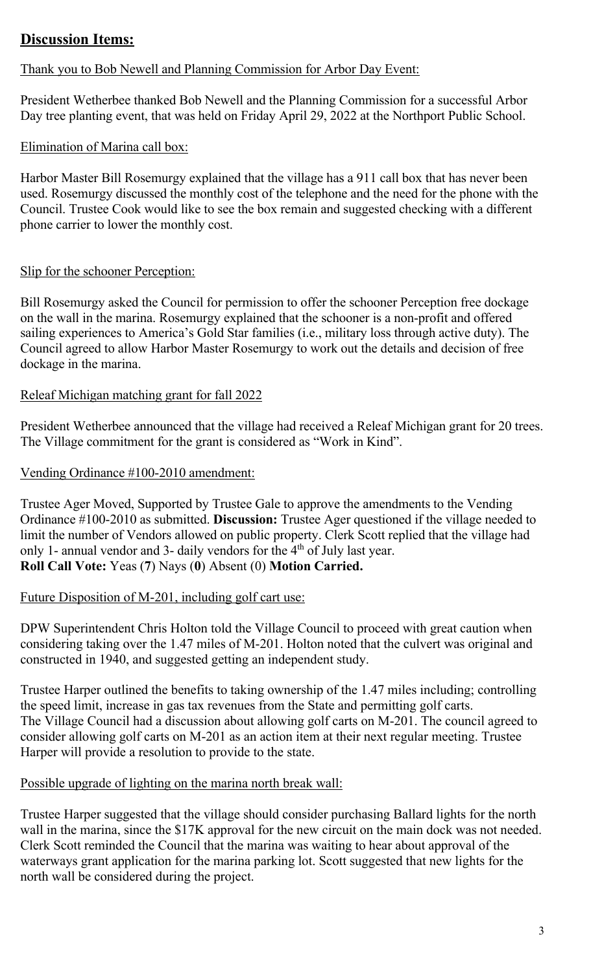## **Discussion Items:**

#### Thank you to Bob Newell and Planning Commission for Arbor Day Event:

President Wetherbee thanked Bob Newell and the Planning Commission for a successful Arbor Day tree planting event, that was held on Friday April 29, 2022 at the Northport Public School.

#### Elimination of Marina call box:

Harbor Master Bill Rosemurgy explained that the village has a 911 call box that has never been used. Rosemurgy discussed the monthly cost of the telephone and the need for the phone with the Council. Trustee Cook would like to see the box remain and suggested checking with a different phone carrier to lower the monthly cost.

#### Slip for the schooner Perception:

Bill Rosemurgy asked the Council for permission to offer the schooner Perception free dockage on the wall in the marina. Rosemurgy explained that the schooner is a non-profit and offered sailing experiences to America's Gold Star families (i.e., military loss through active duty). The Council agreed to allow Harbor Master Rosemurgy to work out the details and decision of free dockage in the marina.

#### Releaf Michigan matching grant for fall 2022

President Wetherbee announced that the village had received a Releaf Michigan grant for 20 trees. The Village commitment for the grant is considered as "Work in Kind".

#### Vending Ordinance #100-2010 amendment:

Trustee Ager Moved, Supported by Trustee Gale to approve the amendments to the Vending Ordinance #100-2010 as submitted. **Discussion:** Trustee Ager questioned if the village needed to limit the number of Vendors allowed on public property. Clerk Scott replied that the village had only 1- annual vendor and 3- daily vendors for the  $4<sup>th</sup>$  of July last year. **Roll Call Vote:** Yeas (**7**) Nays (**0**) Absent (0) **Motion Carried.** 

#### Future Disposition of M-201, including golf cart use:

DPW Superintendent Chris Holton told the Village Council to proceed with great caution when considering taking over the 1.47 miles of M-201. Holton noted that the culvert was original and constructed in 1940, and suggested getting an independent study.

Trustee Harper outlined the benefits to taking ownership of the 1.47 miles including; controlling the speed limit, increase in gas tax revenues from the State and permitting golf carts. The Village Council had a discussion about allowing golf carts on M-201. The council agreed to consider allowing golf carts on M-201 as an action item at their next regular meeting. Trustee Harper will provide a resolution to provide to the state.

#### Possible upgrade of lighting on the marina north break wall:

Trustee Harper suggested that the village should consider purchasing Ballard lights for the north wall in the marina, since the \$17K approval for the new circuit on the main dock was not needed. Clerk Scott reminded the Council that the marina was waiting to hear about approval of the waterways grant application for the marina parking lot. Scott suggested that new lights for the north wall be considered during the project.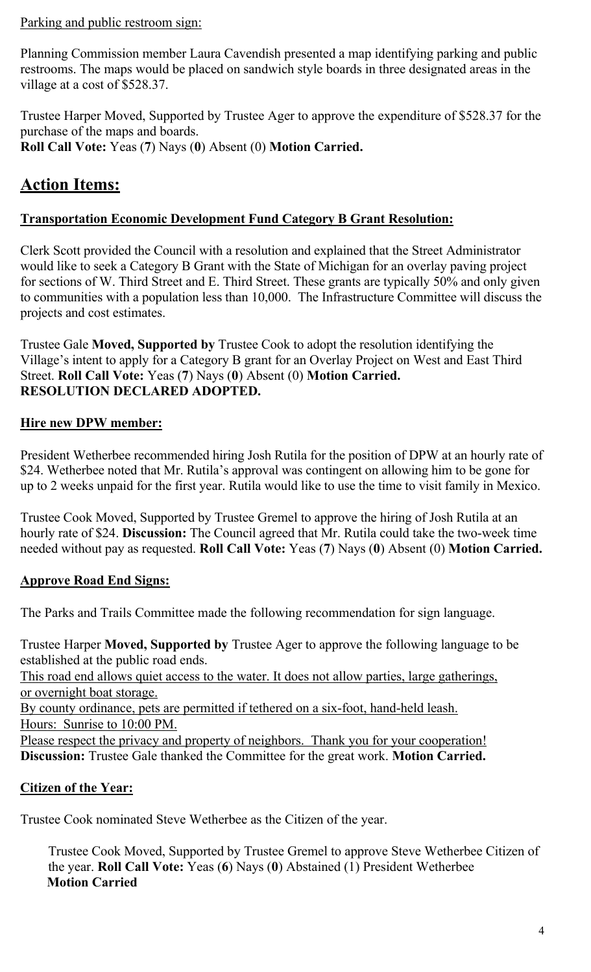#### Parking and public restroom sign:

Planning Commission member Laura Cavendish presented a map identifying parking and public restrooms. The maps would be placed on sandwich style boards in three designated areas in the village at a cost of \$528.37.

Trustee Harper Moved, Supported by Trustee Ager to approve the expenditure of \$528.37 for the purchase of the maps and boards. **Roll Call Vote:** Yeas (**7**) Nays (**0**) Absent (0) **Motion Carried.** 

# **Action Items:**

#### **Transportation Economic Development Fund Category B Grant Resolution:**

Clerk Scott provided the Council with a resolution and explained that the Street Administrator would like to seek a Category B Grant with the State of Michigan for an overlay paving project for sections of W. Third Street and E. Third Street. These grants are typically 50% and only given to communities with a population less than 10,000. The Infrastructure Committee will discuss the projects and cost estimates.

Trustee Gale **Moved, Supported by** Trustee Cook to adopt the resolution identifying the Village's intent to apply for a Category B grant for an Overlay Project on West and East Third Street. **Roll Call Vote:** Yeas (**7**) Nays (**0**) Absent (0) **Motion Carried. RESOLUTION DECLARED ADOPTED.** 

### **Hire new DPW member:**

President Wetherbee recommended hiring Josh Rutila for the position of DPW at an hourly rate of \$24. Wetherbee noted that Mr. Rutila's approval was contingent on allowing him to be gone for up to 2 weeks unpaid for the first year. Rutila would like to use the time to visit family in Mexico.

Trustee Cook Moved, Supported by Trustee Gremel to approve the hiring of Josh Rutila at an hourly rate of \$24. **Discussion:** The Council agreed that Mr. Rutila could take the two-week time needed without pay as requested. **Roll Call Vote:** Yeas (**7**) Nays (**0**) Absent (0) **Motion Carried.** 

### **Approve Road End Signs:**

The Parks and Trails Committee made the following recommendation for sign language.

Trustee Harper **Moved, Supported by** Trustee Ager to approve the following language to be established at the public road ends.

This road end allows quiet access to the water. It does not allow parties, large gatherings, or overnight boat storage.

By county ordinance, pets are permitted if tethered on a six-foot, hand-held leash. Hours: Sunrise to 10:00 PM.

Please respect the privacy and property of neighbors. Thank you for your cooperation! **Discussion:** Trustee Gale thanked the Committee for the great work. **Motion Carried.** 

### **Citizen of the Year:**

Trustee Cook nominated Steve Wetherbee as the Citizen of the year.

Trustee Cook Moved, Supported by Trustee Gremel to approve Steve Wetherbee Citizen of the year. **Roll Call Vote:** Yeas (**6**) Nays (**0**) Abstained (1) President Wetherbee **Motion Carried**